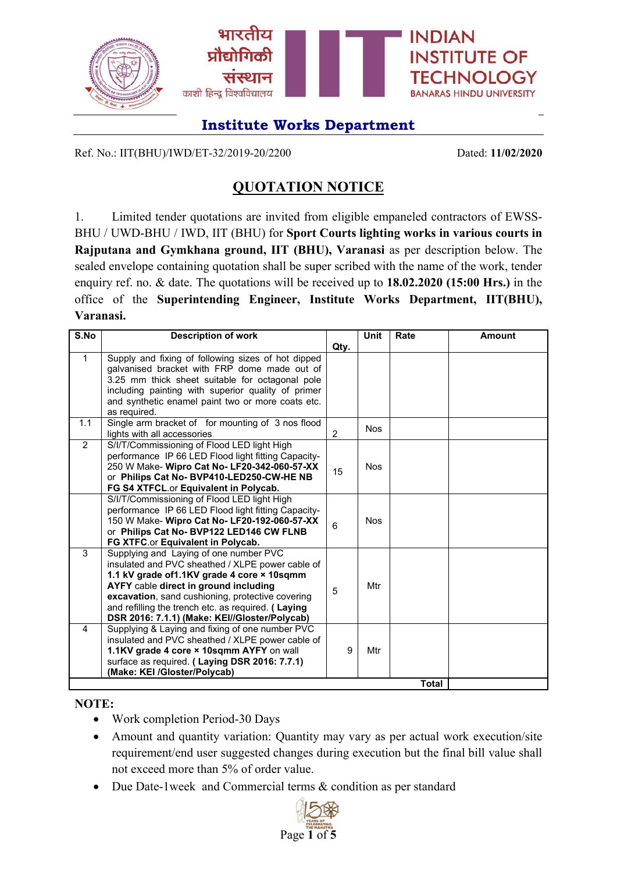

Ref. No.: IIT(BHU)/IWD/ET-32/2019-20/2200 Dated: **11/02/2020**

# **QUOTATION NOTICE**

1. Limited tender quotations are invited from eligible empaneled contractors of EWSS-BHU / UWD-BHU / IWD, IIT (BHU) for **Sport Courts lighting works in various courts in Rajputana and Gymkhana ground, IIT (BHU), Varanasi** as per description below. The sealed envelope containing quotation shall be super scribed with the name of the work, tender enquiry ref. no. & date. The quotations will be received up to **18.02.2020 (15:00 Hrs.)** in the office of the **Superintending Engineer, Institute Works Department, IIT(BHU), Varanasi.**

| S.No           | <b>Description of work</b>                                                                          |                | <b>Unit</b> | Rate | <b>Amount</b> |  |  |
|----------------|-----------------------------------------------------------------------------------------------------|----------------|-------------|------|---------------|--|--|
|                |                                                                                                     | Qty.           |             |      |               |  |  |
| $\mathbf{1}$   | Supply and fixing of following sizes of hot dipped                                                  |                |             |      |               |  |  |
|                | galvanised bracket with FRP dome made out of                                                        |                |             |      |               |  |  |
|                | 3.25 mm thick sheet suitable for octagonal pole                                                     |                |             |      |               |  |  |
|                | including painting with superior quality of primer                                                  |                |             |      |               |  |  |
|                | and synthetic enamel paint two or more coats etc.                                                   |                |             |      |               |  |  |
|                | as required.                                                                                        |                |             |      |               |  |  |
| 1.1            | Single arm bracket of for mounting of 3 nos flood                                                   |                | <b>Nos</b>  |      |               |  |  |
|                | lights with all accessories                                                                         | $\overline{2}$ |             |      |               |  |  |
| $\overline{2}$ | S/I/T/Commissioning of Flood LED light High                                                         |                |             |      |               |  |  |
|                | performance IP 66 LED Flood light fitting Capacity-                                                 |                |             |      |               |  |  |
|                | 250 W Make- Wipro Cat No- LF20-342-060-57-XX                                                        | 15             | <b>Nos</b>  |      |               |  |  |
|                | or Philips Cat No- BVP410-LED250-CW-HE NB                                                           |                |             |      |               |  |  |
|                | FG S4 XTFCL.or Equivalent in Polycab.                                                               |                |             |      |               |  |  |
|                | S/I/T/Commissioning of Flood LED light High                                                         |                |             |      |               |  |  |
|                | performance IP 66 LED Flood light fitting Capacity-<br>150 W Make- Wipro Cat No- LF20-192-060-57-XX |                | <b>Nos</b>  |      |               |  |  |
|                | or Philips Cat No- BVP122 LED146 CW FLNB                                                            | 6              |             |      |               |  |  |
|                | FG XTFC.or Equivalent in Polycab.                                                                   |                |             |      |               |  |  |
| 3              | Supplying and Laying of one number PVC                                                              |                |             |      |               |  |  |
|                | insulated and PVC sheathed / XLPE power cable of                                                    |                |             |      |               |  |  |
|                | 1.1 kV grade of1.1KV grade 4 core × 10sqmm                                                          |                |             |      |               |  |  |
|                | AYFY cable direct in ground including                                                               | 5              | Mtr         |      |               |  |  |
|                | excavation, sand cushioning, protective covering                                                    |                |             |      |               |  |  |
|                | and refilling the trench etc. as required. (Laying                                                  |                |             |      |               |  |  |
|                | DSR 2016: 7.1.1) (Make: KEI//Gloster/Polycab)                                                       |                |             |      |               |  |  |
| 4              | Supplying & Laying and fixing of one number PVC                                                     |                |             |      |               |  |  |
|                | insulated and PVC sheathed / XLPE power cable of                                                    |                |             |      |               |  |  |
|                | 1.1KV grade 4 core × 10sqmm AYFY on wall                                                            | 9              | Mtr         |      |               |  |  |
|                | surface as required. (Laying DSR 2016: 7.7.1)                                                       |                |             |      |               |  |  |
|                | (Make: KEI /Gloster/Polycab)                                                                        |                |             |      |               |  |  |
| Total          |                                                                                                     |                |             |      |               |  |  |

**NOTE:**

- Work completion Period-30 Days
- Amount and quantity variation: Quantity may vary as per actual work execution/site requirement/end user suggested changes during execution but the final bill value shall not exceed more than 5% of order value.
- Due Date-1week and Commercial terms & condition as per standard

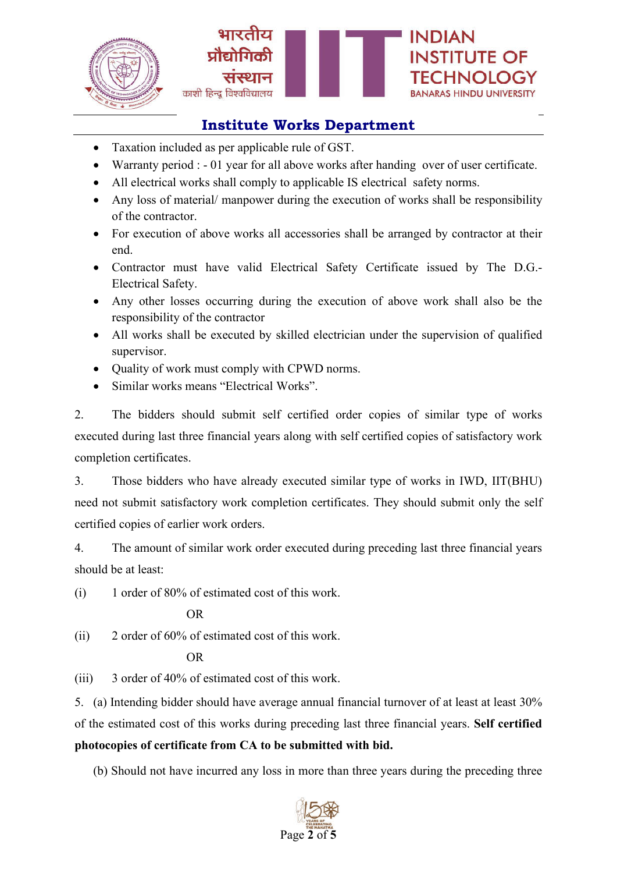



- Taxation included as per applicable rule of GST.
- Warranty period : 01 year for all above works after handing over of user certificate.
- All electrical works shall comply to applicable IS electrical safety norms.
- Any loss of material/ manpower during the execution of works shall be responsibility of the contractor.
- For execution of above works all accessories shall be arranged by contractor at their end.
- Contractor must have valid Electrical Safety Certificate issued by The D.G.- Electrical Safety.
- Any other losses occurring during the execution of above work shall also be the responsibility of the contractor
- All works shall be executed by skilled electrician under the supervision of qualified supervisor.
- Quality of work must comply with CPWD norms.
- Similar works means "Electrical Works".

2. The bidders should submit self certified order copies of similar type of works executed during last three financial years along with self certified copies of satisfactory work completion certificates.

3. Those bidders who have already executed similar type of works in IWD, IIT(BHU) need not submit satisfactory work completion certificates. They should submit only the self certified copies of earlier work orders.

4. The amount of similar work order executed during preceding last three financial years should be at least:

(i) 1 order of 80% of estimated cost of this work.

OR

(ii) 2 order of 60% of estimated cost of this work.

OR

(iii) 3 order of 40% of estimated cost of this work.

5. (a) Intending bidder should have average annual financial turnover of at least at least 30% of the estimated cost of this works during preceding last three financial years. **Self certified photocopies of certificate from CA to be submitted with bid.**

(b) Should not have incurred any loss in more than three years during the preceding three

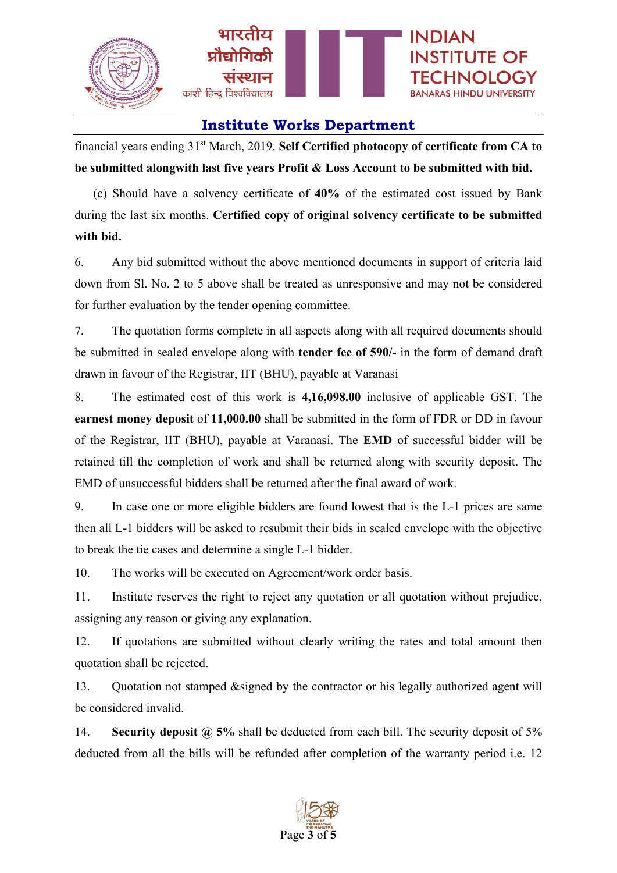

financial years ending 31st March, 2019. **Self Certified photocopy of certificate from CA to be submitted alongwith last five years Profit & Loss Account to be submitted with bid.**

(c) Should have a solvency certificate of **40%** of the estimated cost issued by Bank during the last six months. **Certified copy of original solvency certificate to be submitted with bid.**

6. Any bid submitted without the above mentioned documents in support of criteria laid down from Sl. No. 2 to 5 above shall be treated as unresponsive and may not be considered for further evaluation by the tender opening committee.

7. The quotation forms complete in all aspects along with all required documents should be submitted in sealed envelope along with **tender fee of 590/-** in the form of demand draft drawn in favour of the Registrar, IIT (BHU), payable at Varanasi

8. The estimated cost of this work is **4,16,098.00** inclusive of applicable GST. The **earnest money deposit** of **11,000.00** shall be submitted in the form of FDR or DD in favour of the Registrar, IIT (BHU), payable at Varanasi. The **EMD** of successful bidder will be retained till the completion of work and shall be returned along with security deposit. The EMD of unsuccessful bidders shall be returned after the final award of work.

9. In case one or more eligible bidders are found lowest that is the L-1 prices are same then all L-1 bidders will be asked to resubmit their bids in sealed envelope with the objective to break the tie cases and determine a single L-1 bidder.

10. The works will be executed on Agreement/work order basis.

11. Institute reserves the right to reject any quotation or all quotation without prejudice, assigning any reason or giving any explanation.

12. If quotations are submitted without clearly writing the rates and total amount then quotation shall be rejected.

13. Quotation not stamped &signed by the contractor or his legally authorized agent will be considered invalid.

14. **Security deposit @ 5%** shall be deducted from each bill. The security deposit of 5% deducted from all the bills will be refunded after completion of the warranty period i.e. 12

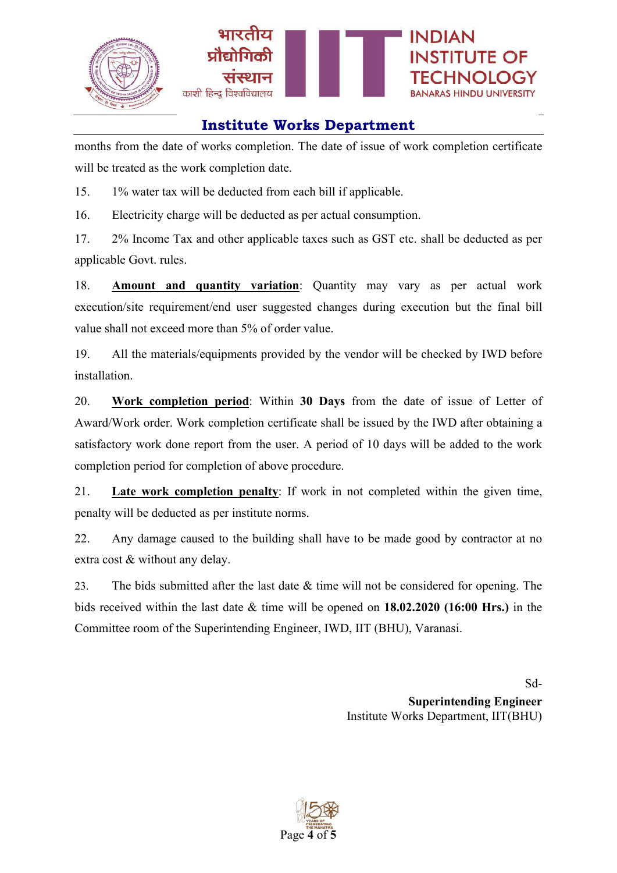

months from the date of works completion. The date of issue of work completion certificate will be treated as the work completion date.

15. 1% water tax will be deducted from each bill if applicable.

16. Electricity charge will be deducted as per actual consumption.

17. 2% Income Tax and other applicable taxes such as GST etc. shall be deducted as per applicable Govt. rules.

18. **Amount and quantity variation**: Quantity may vary as per actual work execution/site requirement/end user suggested changes during execution but the final bill value shall not exceed more than 5% of order value.

19. All the materials/equipments provided by the vendor will be checked by IWD before installation.

20. **Work completion period**: Within **30 Days** from the date of issue of Letter of Award/Work order. Work completion certificate shall be issued by the IWD after obtaining a satisfactory work done report from the user. A period of 10 days will be added to the work completion period for completion of above procedure.

21. **Late work completion penalty**: If work in not completed within the given time, penalty will be deducted as per institute norms.

22. Any damage caused to the building shall have to be made good by contractor at no extra cost & without any delay.

23. The bids submitted after the last date  $\&$  time will not be considered for opening. The bids received within the last date & time will be opened on **18.02.2020 (16:00 Hrs.)** in the Committee room of the Superintending Engineer, IWD, IIT (BHU), Varanasi.

> Sd-**Superintending Engineer** Institute Works Department, IIT(BHU)